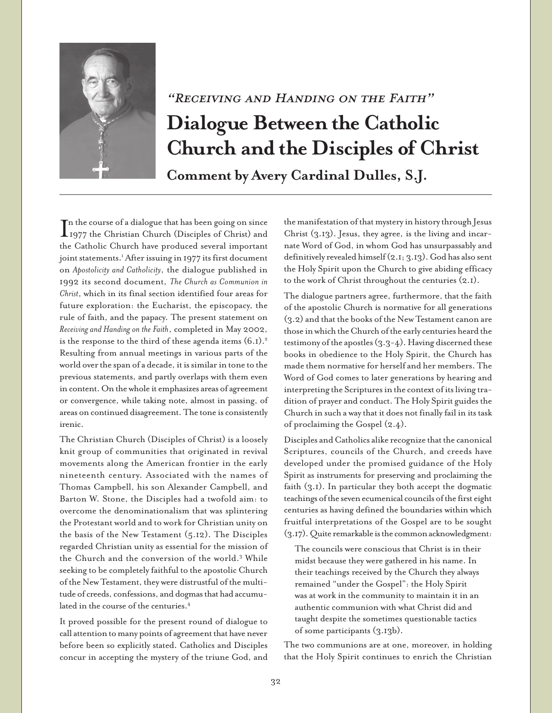

## "Receiving and Handing on the Faith" **Dialogue Between the Catholic Church and the Disciples of Christ**

**Comment by Avery Cardinal Dulles, S.J.**

In the course of a dialogue that has been going on since<br>1977 the Christian Church (Disciples of Christ) and<br>1977 the Christian Church (Disciples of Christ) and n the course of a dialogue that has been going on since the Catholic Church have produced several important joint statements.<sup>1</sup> After issuing in 1977 its first document on *Apostolicity and Catholicity*, the dialogue published in 1992 its second document, *The Church as Communion in Christ*, which in its final section identified four areas for future exploration: the Eucharist, the episcopacy, the rule of faith, and the papacy. The present statement on *Receiving and Handing on the Faith*, completed in May 2002, is the response to the third of these agenda items  $(6.1).<sup>2</sup>$ Resulting from annual meetings in various parts of the world over the span of a decade, it is similar in tone to the previous statements, and partly overlaps with them even in content. On the whole it emphasizes areas of agreement or convergence, while taking note, almost in passing, of areas on continued disagreement. The tone is consistently irenic.

The Christian Church (Disciples of Christ) is a loosely knit group of communities that originated in revival movements along the American frontier in the early nineteenth century. Associated with the names of Thomas Campbell, his son Alexander Campbell, and Barton W. Stone, the Disciples had a twofold aim: to overcome the denominationalism that was splintering the Protestant world and to work for Christian unity on the basis of the New Testament (5.12). The Disciples regarded Christian unity as essential for the mission of the Church and the conversion of the world.3 While seeking to be completely faithful to the apostolic Church of the New Testament, they were distrustful of the multitude of creeds, confessions, and dogmas that had accumulated in the course of the centuries.<sup>4</sup>

It proved possible for the present round of dialogue to call attention to many points of agreement that have never before been so explicitly stated. Catholics and Disciples concur in accepting the mystery of the triune God, and

the manifestation of that mystery in history through Jesus Christ (3.13). Jesus, they agree, is the living and incarnate Word of God, in whom God has unsurpassably and definitively revealed himself (2.1; 3.13). God has also sent the Holy Spirit upon the Church to give abiding efficacy to the work of Christ throughout the centuries (2.1).

The dialogue partners agree, furthermore, that the faith of the apostolic Church is normative for all generations (3.2) and that the books of the New Testament canon are those in which the Church of the early centuries heard the testimony of the apostles (3.3-4). Having discerned these books in obedience to the Holy Spirit, the Church has made them normative for herself and her members. The Word of God comes to later generations by hearing and interpreting the Scriptures in the context of its living tradition of prayer and conduct. The Holy Spirit guides the Church in such a way that it does not finally fail in its task of proclaiming the Gospel (2.4).

Disciples and Catholics alike recognize that the canonical Scriptures, councils of the Church, and creeds have developed under the promised guidance of the Holy Spirit as instruments for preserving and proclaiming the faith (3.1). In particular they both accept the dogmatic teachings of the seven ecumenical councils of the first eight centuries as having defined the boundaries within which fruitful interpretations of the Gospel are to be sought (3.17). Quite remarkable is the common acknowledgment:

The councils were conscious that Christ is in their midst because they were gathered in his name. In their teachings received by the Church they always remained "under the Gospel": the Holy Spirit was at work in the community to maintain it in an authentic communion with what Christ did and taught despite the sometimes questionable tactics of some participants (3.13b).

The two communions are at one, moreover, in holding that the Holy Spirit continues to enrich the Christian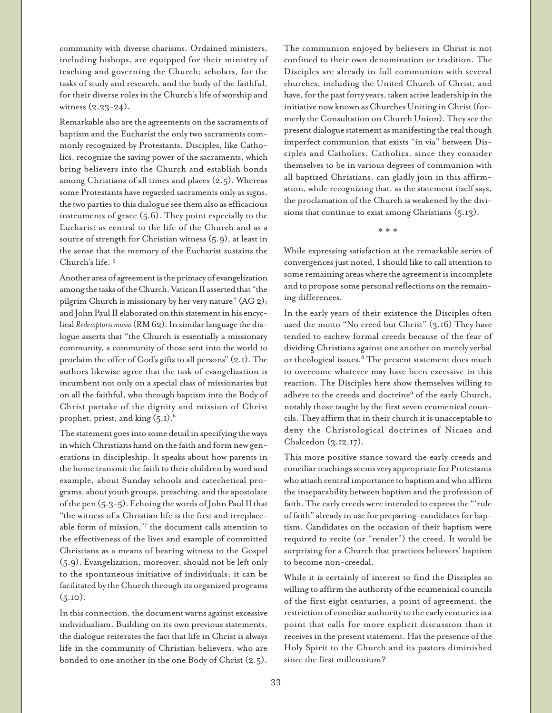community with diverse charisms. Ordained ministers, including bishops, are equipped for their ministry of teaching and governing the Church; scholars, for the tasks of study and research, and the body of the faithful, for their diverse roles in the Church's life of worship and witness (2.23-24).

Remarkable also are the agreements on the sacraments of baptism and the Eucharist the only two sacraments commonly recognized by Protestants. Disciples, like Catholics, recognize the saving power of the sacraments, which bring believers into the Church and establish bonds among Christians of all times and places (2.5). Whereas some Protestants have regarded sacraments only as signs, the two parties to this dialogue see them also as efficacious instruments of grace (5.6). They point especially to the Eucharist as central to the life of the Church and as a source of strength for Christian witness (5.9), at least in the sense that the memory of the Eucharist sustains the Church's life. 5

Another area of agreement is the primacy of evangelization among the tasks of the Church. Vatican II asserted that "the pilgrim Church is missionary by her very nature" (AG 2); and John Paul II elaborated on this statement in his encyclical *Redemptoris missio* (RM 62). In similar language the dialogue asserts that "the Church is essentially a missionary community, a community of those sent into the world to proclaim the offer of God's gifts to all persons" (2.1). The authors likewise agree that the task of evangelization is incumbent not only on a special class of missionaries but on all the faithful, who through baptism into the Body of Christ partake of the dignity and mission of Christ prophet, priest, and king  $(5.1)^6$ .

The statement goes into some detail in specifying the ways in which Christians hand on the faith and form new generations in discipleship. It speaks about how parents in the home transmit the faith to their children by word and example, about Sunday schools and catechetical programs, about youth groups, preaching, and the apostolate of the pen (5.3-5). Echoing the words of John Paul II that "the witness of a Christian life is the first and irreplaceable form of mission,"7 the document calls attention to the effectiveness of the lives and example of committed Christians as a means of bearing witness to the Gospel (5.9). Evangelization, moreover, should not be left only to the spontaneous initiative of individuals; it can be facilitated by the Church through its organized programs  $(5.10).$ 

In this connection, the document warns against excessive individualism. Building on its own previous statements, the dialogue reiterates the fact that life in Christ is always life in the community of Christian believers, who are bonded to one another in the one Body of Christ (2.5).

The communion enjoyed by believers in Christ is not confined to their own denomination or tradition. The Disciples are already in full communion with several churches, including the United Church of Christ, and have, for the past forty years, taken active leadership in the initiative now known as Churches Uniting in Christ (formerly the Consultation on Church Union). They see the present dialogue statement as manifesting the real though imperfect communion that exists "in via" between Disciples and Catholics. Catholics, since they consider themselves to be in various degrees of communion with all baptized Christians, can gladly join in this affirmation, while recognizing that, as the statement itself says, the proclamation of the Church is weakened by the divisions that continue to exist among Christians (5.13).

\* \* \*

While expressing satisfaction at the remarkable series of convergences just noted, I should like to call attention to some remaining areas where the agreement is incomplete and to propose some personal reflections on the remaining differences.

In the early years of their existence the Disciples often used the motto "No creed but Christ" (3.16) They have tended to eschew formal creeds because of the fear of dividing Christians against one another on merely verbal or theological issues.<sup>8</sup> The present statement does much to overcome whatever may have been excessive in this reaction. The Disciples here show themselves willing to adhere to the creeds and doctrine<sup>9</sup> of the early Church, notably those taught by the first seven ecumenical councils. They affirm that in their church it is unacceptable to deny the Christological doctrines of Nicaea and Chalcedon (3.12,17).

This more positive stance toward the early creeds and conciliar teachings seems very appropriate for Protestants who attach central importance to baptism and who affirm the inseparability between baptism and the profession of faith. The early creeds were intended to express the "'rule of faith" already in use for preparing-candidates for baptism. Candidates on the occasion of their baptism were required to recite (or "render") the creed. It would be surprising for a Church that practices believers' baptism to become non-creedal.

While it is certainly of interest to find the Disciples so willing to affirm the authority of the ecumenical councils of the first eight centuries, a point of agreement, the restriction of conciliar authority to the early centuries is a point that calls for more explicit discussion than it receives in the present statement. Has the presence of the Holy Spirit to the Church and its pastors diminished since the first millennium?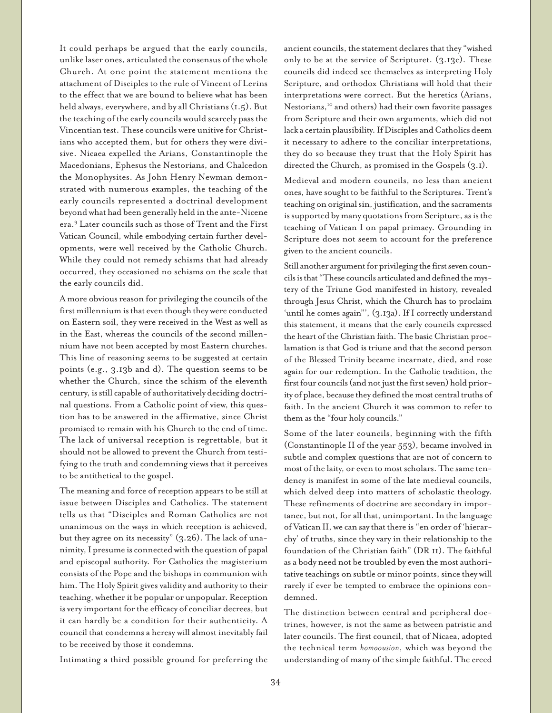It could perhaps be argued that the early councils, unlike laser ones, articulated the consensus of the whole Church. At one point the statement mentions the attachment of Disciples to the rule of Vincent of Lerins to the effect that we are bound to believe what has been held always, everywhere, and by all Christians (1.5). But the teaching of the early councils would scarcely pass the Vincentian test. These councils were unitive for Christians who accepted them, but for others they were divisive. Nicaea expelled the Arians, Constantinople the Macedonians, Ephesus the Nestorians, and Chalcedon the Monophysites. As John Henry Newman demonstrated with numerous examples, the teaching of the early councils represented a doctrinal development beyond what had been generally held in the ante-Nicene era.9 Later councils such as those of Trent and the First Vatican Council, while embodying certain further developments, were well received by the Catholic Church. While they could not remedy schisms that had already occurred, they occasioned no schisms on the scale that the early councils did.

A more obvious reason for privileging the councils of the first millennium is that even though they were conducted on Eastern soil, they were received in the West as well as in the East, whereas the councils of the second millennium have not been accepted by most Eastern churches. This line of reasoning seems to be suggested at certain points (e.g., 3.13b and d). The question seems to be whether the Church, since the schism of the eleventh century, is still capable of authoritatively deciding doctrinal questions. From a Catholic point of view, this question has to be answered in the affirmative, since Christ promised to remain with his Church to the end of time. The lack of universal reception is regrettable, but it should not be allowed to prevent the Church from testifying to the truth and condemning views that it perceives to be antithetical to the gospel.

The meaning and force of reception appears to be still at issue between Disciples and Catholics. The statement tells us that "Disciples and Roman Catholics are not unanimous on the ways in which reception is achieved, but they agree on its necessity" (3.26). The lack of unanimity, I presume is connected with the question of papal and episcopal authority. For Catholics the magisterium consists of the Pope and the bishops in communion with him. The Holy Spirit gives validity and authority to their teaching, whether it be popular or unpopular. Reception is very important for the efficacy of conciliar decrees, but it can hardly be a condition for their authenticity. A council that condemns a heresy will almost inevitably fail to be received by those it condemns.

Intimating a third possible ground for preferring the

ancient councils, the statement declares that they "wished only to be at the service of Scripturet. (3.13c). These councils did indeed see themselves as interpreting Holy Scripture, and orthodox Christians will hold that their interpretations were correct. But the heretics (Arians, Nestorians,<sup>10</sup> and others) had their own favorite passages from Scripture and their own arguments, which did not lack a certain plausibility. If Disciples and Catholics deem it necessary to adhere to the conciliar interpretations, they do so because they trust that the Holy Spirit has directed the Church, as promised in the Gospels (3.1).

Medieval and modern councils, no less than ancient ones, have sought to be faithful to the Scriptures. Trent's teaching on original sin, justification, and the sacraments is supported by many quotations from Scripture, as is the teaching of Vatican I on papal primacy. Grounding in Scripture does not seem to account for the preference given to the ancient councils.

Still another argument for privileging the first seven councils is that "These councils articulated and defined the mystery of the Triune God manifested in history, revealed through Jesus Christ, which the Church has to proclaim 'until he comes again"', (3.13a). If I correctly understand this statement, it means that the early councils expressed the heart of the Christian faith. The basic Christian proclamation is that God is triune and that the second person of the Blessed Trinity became incarnate, died, and rose again for our redemption. In the Catholic tradition, the first four councils (and not just the first seven) hold priority of place, because they defined the most central truths of faith. In the ancient Church it was common to refer to them as the "four holy councils."

Some of the later councils, beginning with the fifth (Constantinople II of the year 553), became involved in subtle and complex questions that are not of concern to most of the laity, or even to most scholars. The same tendency is manifest in some of the late medieval councils, which delved deep into matters of scholastic theology. These refinements of doctrine are secondary in importance, but not, for all that, unimportant. In the language of Vatican II, we can say that there is "en order of 'hierarchy' of truths, since they vary in their relationship to the foundation of the Christian faith" (DR 11). The faithful as a body need not be troubled by even the most authoritative teachings on subtle or minor points, since they will rarely if ever be tempted to embrace the opinions condemned.

The distinction between central and peripheral doctrines, however, is not the same as between patristic and later councils. The first council, that of Nicaea, adopted the technical term *homoousion*, which was beyond the understanding of many of the simple faithful. The creed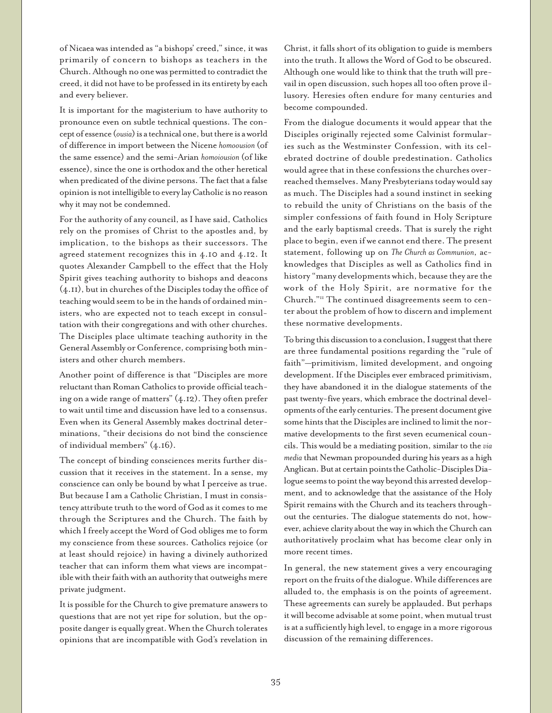of Nicaea was intended as "a bishops' creed," since, it was primarily of concern to bishops as teachers in the Church. Although no one was permitted to contradict the creed, it did not have to be professed in its entirety by each and every believer.

It is important for the magisterium to have authority to pronounce even on subtle technical questions. The concept of essence (*ousia*) is a technical one, but there is a world of difference in import between the Nicene *homoousion* (of the same essence) and the semi-Arian *homoiousion* (of like essence), since the one is orthodox and the other heretical when predicated of the divine persons. The fact that a false opinion is not intelligible to every lay Catholic is no reason why it may not be condemned.

For the authority of any council, as I have said, Catholics rely on the promises of Christ to the apostles and, by implication, to the bishops as their successors. The agreed statement recognizes this in 4.10 and 4.12. It quotes Alexander Campbell to the effect that the Holy Spirit gives teaching authority to bishops and deacons (4.11), but in churches of the Disciples today the office of teaching would seem to be in the hands of ordained ministers, who are expected not to teach except in consultation with their congregations and with other churches. The Disciples place ultimate teaching authority in the General Assembly or Conference, comprising both ministers and other church members.

Another point of difference is that "Disciples are more reluctant than Roman Catholics to provide official teaching on a wide range of matters" (4.12). They often prefer to wait until time and discussion have led to a consensus. Even when its General Assembly makes doctrinal determinations, "their decisions do not bind the conscience of individual members" (4.16).

The concept of binding consciences merits further discussion that it receives in the statement. In a sense, my conscience can only be bound by what I perceive as true. But because I am a Catholic Christian, I must in consistency attribute truth to the word of God as it comes to me through the Scriptures and the Church. The faith by which I freely accept the Word of God obliges me to form my conscience from these sources. Catholics rejoice (or at least should rejoice) in having a divinely authorized teacher that can inform them what views are incompatible with their faith with an authority that outweighs mere private judgment.

It is possible for the Church to give premature answers to questions that are not yet ripe for solution, but the opposite danger is equally great. When the Church tolerates opinions that are incompatible with God's revelation in

Christ, it falls short of its obligation to guide is members into the truth. It allows the Word of God to be obscured. Although one would like to think that the truth will prevail in open discussion, such hopes all too often prove illusory. Heresies often endure for many centuries and become compounded.

From the dialogue documents it would appear that the Disciples originally rejected some Calvinist formularies such as the Westminster Confession, with its celebrated doctrine of double predestination. Catholics would agree that in these confessions the churches overreached themselves. Many Presbyterians today would say as much. The Disciples had a sound instinct in seeking to rebuild the unity of Christians on the basis of the simpler confessions of faith found in Holy Scripture and the early baptismal creeds. That is surely the right place to begin, even if we cannot end there. The present statement, following up on *The Church as Communion*, acknowledges that Disciples as well as Catholics find in history "many developments which, because they are the work of the Holy Spirit, are normative for the Church."11 The continued disagreements seem to center about the problem of how to discern and implement these normative developments.

To bring this discussion to a conclusion, I suggest that there are three fundamental positions regarding the "rule of faith"—primitivism, limited development, and ongoing development. If the Disciples ever embraced primitivism, they have abandoned it in the dialogue statements of the past twenty-five years, which embrace the doctrinal developments of the early centuries. The present document give some hints that the Disciples are inclined to limit the normative developments to the first seven ecumenical councils. This would be a mediating position, similar to the *via media* that Newman propounded during his years as a high Anglican. But at certain points the Catholic-Disciples Dialogue seems to point the way beyond this arrested development, and to acknowledge that the assistance of the Holy Spirit remains with the Church and its teachers throughout the centuries. The dialogue statements do not, however, achieve clarity about the way in which the Church can authoritatively proclaim what has become clear only in more recent times.

In general, the new statement gives a very encouraging report on the fruits of the dialogue. While differences are alluded to, the emphasis is on the points of agreement. These agreements can surely be applauded. But perhaps it will become advisable at some point, when mutual trust is at a sufficiently high level, to engage in a more rigorous discussion of the remaining differences.